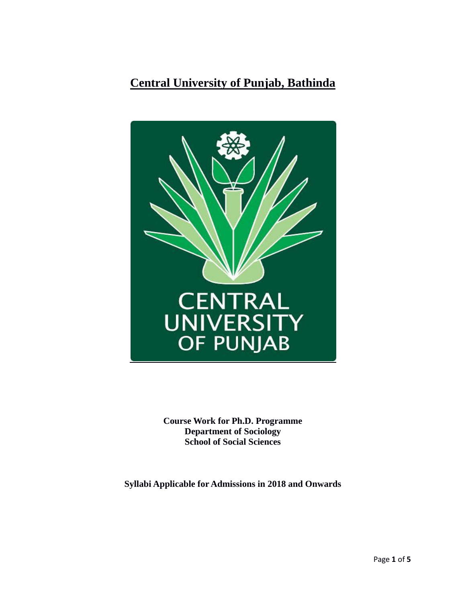# **Central University of Punjab, Bathinda**



**Course Work for Ph.D. Programme Department of Sociology School of Social Sciences**

**Syllabi Applicable for Admissions in 2018 and Onwards**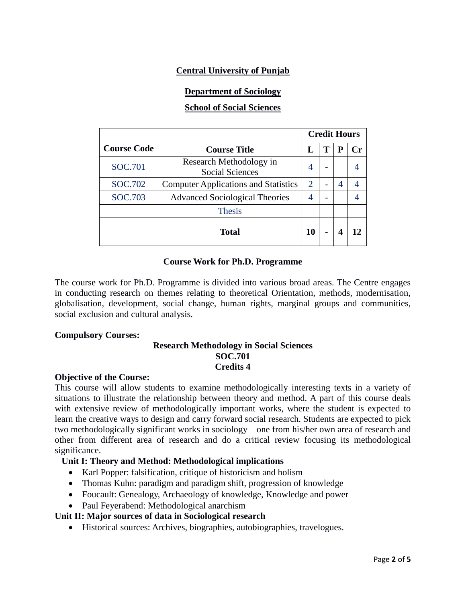# **Central University of Punjab**

### **Department of Sociology**

### **School of Social Sciences**

|                    |                                                   | <b>Credit Hours</b> |   |   |    |
|--------------------|---------------------------------------------------|---------------------|---|---|----|
| <b>Course Code</b> | <b>Course Title</b>                               |                     | т | р | Сr |
| SOC.701            | Research Methodology in<br><b>Social Sciences</b> | 4                   |   |   |    |
| <b>SOC.702</b>     | <b>Computer Applications and Statistics</b>       | $\overline{2}$      |   | 4 |    |
| SOC.703            | <b>Advanced Sociological Theories</b>             |                     |   |   |    |
|                    | <b>Thesis</b>                                     |                     |   |   |    |
|                    | <b>Total</b>                                      | 10                  | - |   |    |

#### **Course Work for Ph.D. Programme**

The course work for Ph.D. Programme is divided into various broad areas. The Centre engages in conducting research on themes relating to theoretical Orientation, methods, modernisation, globalisation, development, social change, human rights, marginal groups and communities, social exclusion and cultural analysis.

#### **Compulsory Courses:**

### **Research Methodology in Social Sciences SOC.701 Credits 4**

#### **Objective of the Course:**

This course will allow students to examine methodologically interesting texts in a variety of situations to illustrate the relationship between theory and method. A part of this course deals with extensive review of methodologically important works, where the student is expected to learn the creative ways to design and carry forward social research. Students are expected to pick two methodologically significant works in sociology – one from his/her own area of research and other from different area of research and do a critical review focusing its methodological significance.

### **Unit I: Theory and Method: Methodological implications**

- Karl Popper: falsification, critique of historicism and holism
- Thomas Kuhn: paradigm and paradigm shift, progression of knowledge
- Foucault: Genealogy, Archaeology of knowledge, Knowledge and power
- Paul Feyerabend: Methodological anarchism

### **Unit II: Major sources of data in Sociological research**

Historical sources: Archives, biographies, autobiographies, travelogues.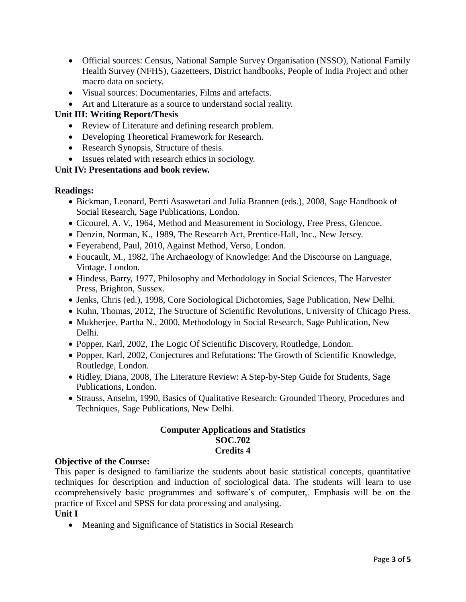- Official sources: Census, National Sample Survey Organisation (NSSO), National Family Health Survey (NFHS), Gazetteers, District handbooks, People of India Project and other macro data on society.
- Visual sources: Documentaries, Films and artefacts.
- Art and Literature as a source to understand social reality.

# **Unit III: Writing Report/Thesis**

- Review of Literature and defining research problem.
- Developing Theoretical Framework for Research.
- Research Synopsis, Structure of thesis.
- Issues related with research ethics in sociology.

### **Unit IV: Presentations and book review.**

### **Readings:**

- Bickman, Leonard, Pertti Asaswetari and Julia Brannen (eds.), 2008, Sage Handbook of Social Research, Sage Publications, London.
- Cicourel, A. V., 1964, Method and Measurement in Sociology, Free Press, Glencoe.
- Denzin, Norman, K., 1989, The Research Act, Prentice-Hall, Inc., New Jersey.
- Feyerabend, Paul, 2010, Against Method, Verso, London.
- Foucault, M., 1982, The Archaeology of Knowledge: And the Discourse on Language, Vintage, London.
- Hindess, Barry, 1977, Philosophy and Methodology in Social Sciences, The Harvester Press, Brighton, Sussex.
- Jenks, Chris (ed.), 1998, Core Sociological Dichotomies, Sage Publication, New Delhi.
- Kuhn, Thomas, 2012, The Structure of Scientific Revolutions, University of Chicago Press.
- Mukherjee, Partha N., 2000, Methodology in Social Research, Sage Publication, New Delhi.
- Popper, Karl, 2002, The Logic Of Scientific Discovery, Routledge, London.
- Popper, Karl, 2002, Conjectures and Refutations: The Growth of Scientific Knowledge, Routledge, London.
- Ridley, Diana, 2008, The Literature Review: A Step-by-Step Guide for Students, Sage Publications, London.
- Strauss, Anselm, 1990, Basics of Qualitative Research: Grounded Theory, Procedures and Techniques, Sage Publications, New Delhi.

### **Computer Applications and Statistics SOC.702 Credits 4**

### **Objective of the Course:**

This paper is designed to familiarize the students about basic statistical concepts, quantitative techniques for description and induction of sociological data. The students will learn to use ccomprehensively basic programmes and software's of computer,. Emphasis will be on the practice of Excel and SPSS for data processing and analysing.

### **Unit I**

Meaning and Significance of Statistics in Social Research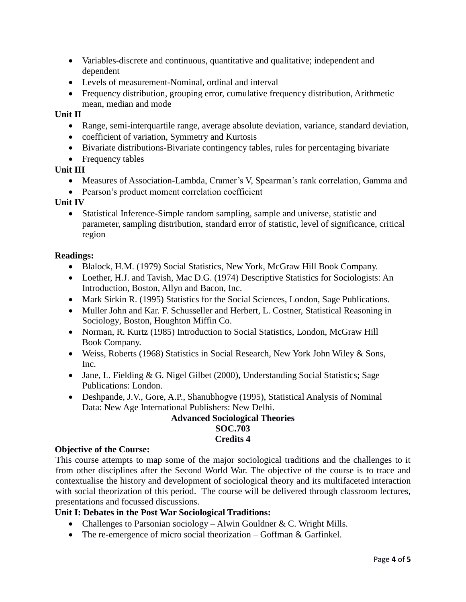- Variables-discrete and continuous, quantitative and qualitative; independent and dependent
- Levels of measurement-Nominal, ordinal and interval
- Frequency distribution, grouping error, cumulative frequency distribution, Arithmetic mean, median and mode

### **Unit II**

- Range, semi-interquartile range, average absolute deviation, variance, standard deviation,
- coefficient of variation, Symmetry and Kurtosis
- Bivariate distributions-Bivariate contingency tables, rules for percentaging bivariate
- Frequency tables

#### **Unit III**

- Measures of Association-Lambda, Cramer's V, Spearman's rank correlation, Gamma and
- Pearson's product moment correlation coefficient

#### **Unit IV**

 Statistical Inference-Simple random sampling, sample and universe, statistic and parameter, sampling distribution, standard error of statistic, level of significance, critical region

#### **Readings:**

- Blalock, H.M. (1979) Social Statistics, New York, McGraw Hill Book Company.
- Loether, H.J. and Tavish, Mac D.G. (1974) Descriptive Statistics for Sociologists: An Introduction, Boston, Allyn and Bacon, Inc.
- Mark Sirkin R. (1995) Statistics for the Social Sciences, London, Sage Publications.
- Muller John and Kar. F. Schusseller and Herbert, L. Costner, Statistical Reasoning in Sociology, Boston, Houghton Miffin Co.
- Norman, R. Kurtz (1985) Introduction to Social Statistics, London, McGraw Hill Book Company.
- Weiss, Roberts (1968) Statistics in Social Research, New York John Wiley & Sons, Inc.
- Jane, L. Fielding & G. Nigel Gilbet (2000), Understanding Social Statistics; Sage Publications: London.
- Deshpande, J.V., Gore, A.P., Shanubhogve (1995), Statistical Analysis of Nominal Data: New Age International Publishers: New Delhi.

### **Advanced Sociological Theories SOC.703 Credits 4**

### **Objective of the Course:**

This course attempts to map some of the major sociological traditions and the challenges to it from other disciplines after the Second World War. The objective of the course is to trace and contextualise the history and development of sociological theory and its multifaceted interaction with social theorization of this period. The course will be delivered through classroom lectures, presentations and focussed discussions.

### **Unit I: Debates in the Post War Sociological Traditions:**

- Challenges to Parsonian sociology Alwin Gouldner & C. Wright Mills.
- The re-emergence of micro social theorization Goffman & Garfinkel.